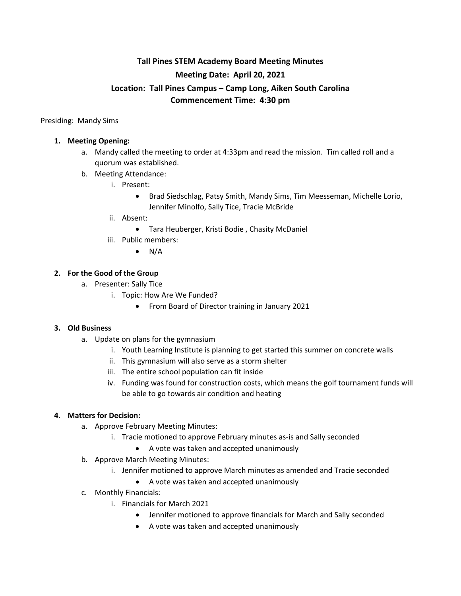# **Tall Pines STEM Academy Board Meeting Minutes Meeting Date: April 20, 2021 Location: Tall Pines Campus – Camp Long, Aiken South Carolina Commencement Time: 4:30 pm**

Presiding: Mandy Sims

#### **1. Meeting Opening:**

- a. Mandy called the meeting to order at 4:33pm and read the mission. Tim called roll and a quorum was established.
- b. Meeting Attendance:
	- i. Present:
		- Brad Siedschlag, Patsy Smith, Mandy Sims, Tim Meesseman, Michelle Lorio, Jennifer Minolfo, Sally Tice, Tracie McBride
	- ii. Absent:
		- Tara Heuberger, Kristi Bodie , Chasity McDaniel
	- iii. Public members:
		- $\bullet$  N/A

### **2. For the Good of the Group**

- a. Presenter: Sally Tice
	- i. Topic: How Are We Funded?
		- From Board of Director training in January 2021

### **3. Old Business**

- a. Update on plans for the gymnasium
	- i. Youth Learning Institute is planning to get started this summer on concrete walls
	- ii. This gymnasium will also serve as a storm shelter
	- iii. The entire school population can fit inside
	- iv. Funding was found for construction costs, which means the golf tournament funds will be able to go towards air condition and heating

### **4. Matters for Decision:**

- a. Approve February Meeting Minutes:
	- i. Tracie motioned to approve February minutes as-is and Sally seconded
		- A vote was taken and accepted unanimously
- b. Approve March Meeting Minutes:
	- i. Jennifer motioned to approve March minutes as amended and Tracie seconded
		- A vote was taken and accepted unanimously
- c. Monthly Financials:
	- i. Financials for March 2021
		- Jennifer motioned to approve financials for March and Sally seconded
		- A vote was taken and accepted unanimously